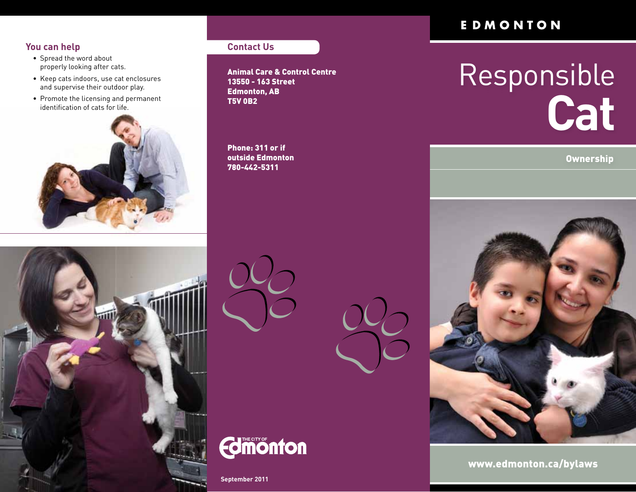# **You can help**

- • Spread the word about properly looking after cats.
- • Keep cats indoors, use cat enclosures and supervise their outdoor play.
- • Promote the licensing and permanent identification of cats for life.



# **Contact Us**

Animal Care & Control Centre 13550 - 163 Street Edmonton, AB T5V 0B2

Phone: 311 or if outside Edmonton 780-442-5311







**September 2011**

# EDMONTON

# Responsible **Cat**



www.edmonton.ca/bylaws